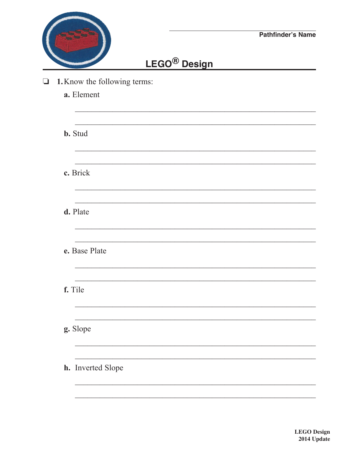|                              |                          | <b>Pathfinder's Name</b> |
|------------------------------|--------------------------|--------------------------|
|                              | LEGO <sup>®</sup> Design |                          |
| 1. Know the following terms: |                          |                          |
| a. Element                   |                          |                          |
| <b>b.</b> Stud               |                          |                          |
|                              |                          |                          |
| c. Brick                     |                          |                          |
| d. Plate                     |                          |                          |
| e. Base Plate                |                          |                          |
|                              |                          |                          |
| f. Tile                      |                          |                          |
| g. Slope                     |                          |                          |
|                              |                          |                          |
| h. Inverted Slope            |                          |                          |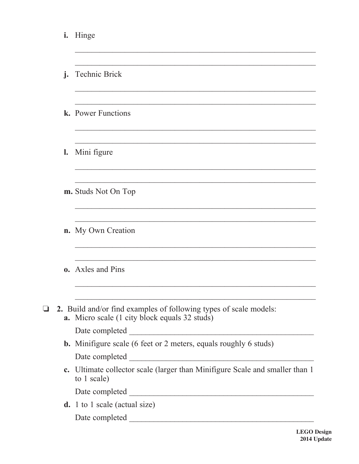| i.             | Hinge                                                                                                                     |
|----------------|---------------------------------------------------------------------------------------------------------------------------|
| $\mathbf{i}$ . | <b>Technic Brick</b>                                                                                                      |
|                | k. Power Functions                                                                                                        |
| $\mathbf{l}$ . | Mini figure                                                                                                               |
|                | m. Studs Not On Top                                                                                                       |
|                | <b>n.</b> My Own Creation                                                                                                 |
|                | <b>o.</b> Axles and Pins                                                                                                  |
|                | 2. Build and/or find examples of following types of scale models:<br><b>a.</b> Micro scale (1 city block equals 32 studs) |
|                | <b>b.</b> Minifigure scale (6 feet or 2 meters, equals roughly 6 studs)                                                   |
|                |                                                                                                                           |
|                | c. Ultimate collector scale (larger than Minifigure Scale and smaller than 1<br>to 1 scale)                               |
|                |                                                                                                                           |
|                | <b>d.</b> 1 to 1 scale (actual size)                                                                                      |
|                |                                                                                                                           |

 $\Box$